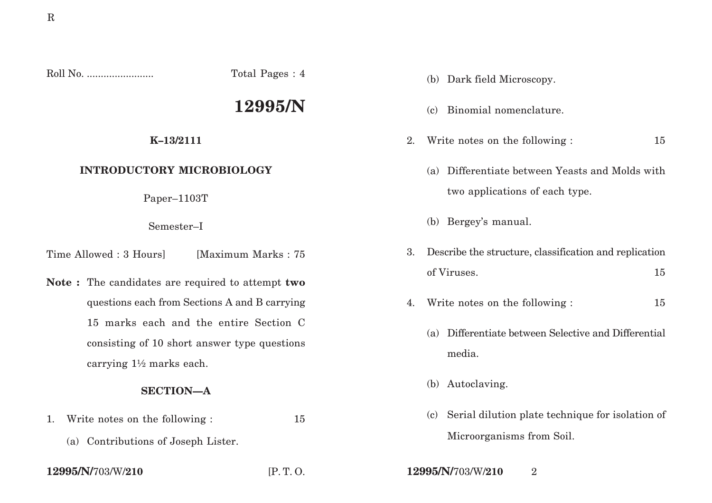Roll No. ........................ Total Pages : 4

# **12995/N**

### **K–13/2111**

## **INTRODUCTORY MICROBIOLOGY**

Paper–1103T

#### Semester–I

Time Allowed : 3 Hoursl [Maximum Marks : 75]

**Note :** The candidates are required to attempt **two** questions each from Sections A and B carrying 15 marks each and the entire Section C consisting of 10 short answer type questions carrying 1½ marks each.

## **SECTION—A**

- 1. Write notes on the following : 15
	- (a) Contributions of Joseph Lister.

| 12995/N/703/W/210 |  |
|-------------------|--|
|-------------------|--|

- (b) Dark field Microscopy.
- (c) Binomial nomenclature.
- 2. Write notes on the following : 15
	- (a) Differentiate between Yeasts and Molds with two applications of each type.
	- (b) Bergey's manual.
- 3. Describe the structure, classification and replication of Viruses. 15
- 4. Write notes on the following : 15
	- (a) Differentiate between Selective and Differential media.
	- (b) Autoclaving.
	- (c) Serial dilution plate technique for isolation of Microorganisms from Soil.
- **12995/N/**703/W/**210** [P. T. O. **12995/N/**703/W/**210** 2